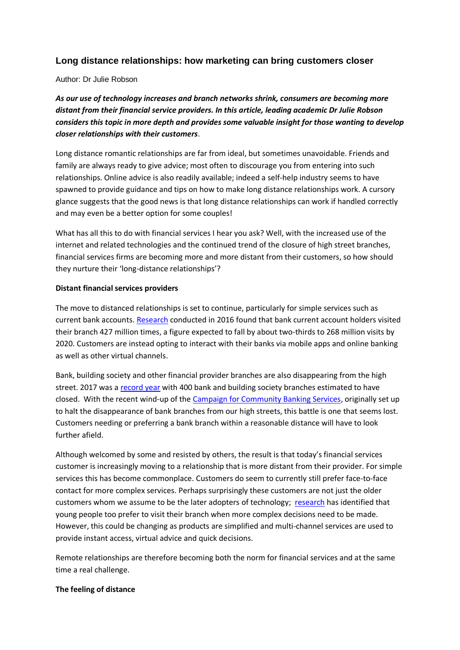## **Long distance relationships: how marketing can bring customers closer**

Author: Dr Julie Robson

*As our use of technology increases and branch networks shrink, consumers are becoming more distant from their financial service providers. In this article, leading academic Dr Julie Robson considers this topic in more depth and provides some valuable insight for those wanting to develop closer relationships with their customers*.

Long distance romantic relationships are far from ideal, but sometimes unavoidable. Friends and family are always ready to give advice; most often to discourage you from entering into such relationships. Online advice is also readily available; indeed a self-help industry seems to have spawned to provide guidance and tips on how to make long distance relationships work. A cursory glance suggests that the good news is that long distance relationships can work if handled correctly and may even be a better option for some couples!

What has all this to do with financial services I hear you ask? Well, with the increased use of the internet and related technologies and the continued trend of the closure of high street branches, financial services firms are becoming more and more distant from their customers, so how should they nurture their 'long-distance relationships'?

## **Distant financial services providers**

The move to distanced relationships is set to continue, particularly for simple services such as current bank accounts. [Research](https://www.ft.com/content/a7d81bb0-e609-11e5-bc31-138df2ae9ee6) conducted in 2016 found that bank current account holders visited their branch 427 million times, a figure expected to fall by about two-thirds to 268 million visits by 2020. Customers are instead opting to interact with their banks via mobile apps and online banking as well as other virtual channels.

Bank, building society and other financial provider branches are also disappearing from the high street. 2017 was a [record year](http://www.thisismoney.co.uk/money/saving/article-4166954/Bank-building-society-branches-closing-UK.html) with 400 bank and building society branches estimated to have closed. With the recent wind-up of the [Campaign for Community Banking Services,](https://www.choose.co.uk/news/ccbs-banks-branches-closures-competition-cma-community.html) originally set up to halt the disappearance of bank branches from our high streets, this battle is one that seems lost. Customers needing or preferring a bank branch within a reasonable distance will have to look further afield.

Although welcomed by some and resisted by others, the result is that today's financial services customer is increasingly moving to a relationship that is more distant from their provider. For simple services this has become commonplace. Customers do seem to currently still prefer face-to-face contact for more complex services. Perhaps surprisingly these customers are not just the older customers whom we assume to be the later adopters of technology; [research](https://www.egremontinternational.com/insight/article/young-people-prefer-face-to-face-contact) has identified that young people too prefer to visit their branch when more complex decisions need to be made. However, this could be changing as products are simplified and multi-channel services are used to provide instant access, virtual advice and quick decisions.

Remote relationships are therefore becoming both the norm for financial services and at the same time a real challenge.

## **The feeling of distance**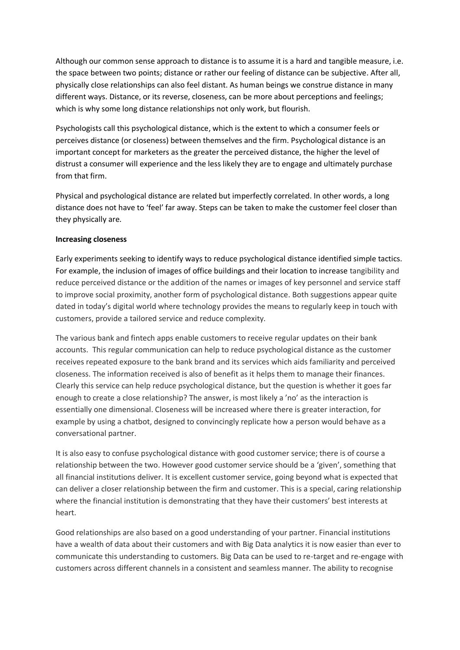Although our common sense approach to distance is to assume it is a hard and tangible measure, i.e. the space between two points; distance or rather our feeling of distance can be subjective. After all, physically close relationships can also feel distant. As human beings we construe distance in many different ways. Distance, or its reverse, closeness, can be more about perceptions and feelings; which is why some long distance relationships not only work, but flourish.

Psychologists call this psychological distance, which is the extent to which a consumer feels or perceives distance (or closeness) between themselves and the firm. Psychological distance is an important concept for marketers as the greater the perceived distance, the higher the level of distrust a consumer will experience and the less likely they are to engage and ultimately purchase from that firm.

Physical and psychological distance are related but imperfectly correlated. In other words, a long distance does not have to 'feel' far away. Steps can be taken to make the customer feel closer than they physically are.

## **Increasing closeness**

Early experiments seeking to identify ways to reduce psychological distance identified simple tactics. For example, the inclusion of images of office buildings and their location to increase tangibility and reduce perceived distance or the addition of the names or images of key personnel and service staff to improve social proximity, another form of psychological distance. Both suggestions appear quite dated in today's digital world where technology provides the means to regularly keep in touch with customers, provide a tailored service and reduce complexity.

The various bank and fintech apps enable customers to receive regular updates on their bank accounts. This regular communication can help to reduce psychological distance as the customer receives repeated exposure to the bank brand and its services which aids familiarity and perceived closeness. The information received is also of benefit as it helps them to manage their finances. Clearly this service can help reduce psychological distance, but the question is whether it goes far enough to create a close relationship? The answer, is most likely a 'no' as the interaction is essentially one dimensional. Closeness will be increased where there is greater interaction, for example by using a chatbot, designed to convincingly replicate how a person would behave as a conversational partner.

It is also easy to confuse psychological distance with good customer service; there is of course a relationship between the two. However good customer service should be a 'given', something that all financial institutions deliver. It is excellent customer service, going beyond what is expected that can deliver a closer relationship between the firm and customer. This is a special, caring relationship where the financial institution is demonstrating that they have their customers' best interests at heart.

Good relationships are also based on a good understanding of your partner. Financial institutions have a wealth of data about their customers and with Big Data analytics it is now easier than ever to communicate this understanding to customers. Big Data can be used to re-target and re-engage with customers across different channels in a consistent and seamless manner. The ability to recognise